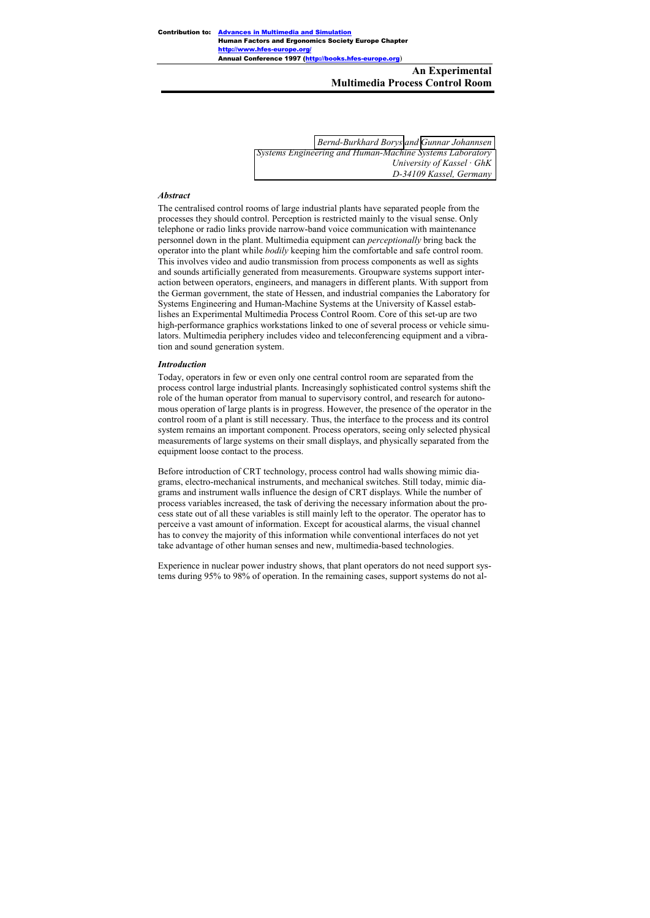# **An Experimental Multimedia Process Control Room**

*[Bernd-Burkhard Borys](http://www.uni-kassel.de/~borys/en.ghk) and [Gunnar Johannsen](http://www.imat.maschinenbau.uni-kassel.de/members/joh/johhome.html)  [Systems Engineering and Human-Machine Systems Laboratory](http://www.imat.maschinenbau.uni-kassel.de/indexen.html)  University of Kassel · GhK D-34109 Kassel, Germany*

## *Abstract*

The centralised control rooms of large industrial plants have separated people from the processes they should control. Perception is restricted mainly to the visual sense. Only telephone or radio links provide narrow-band voice communication with maintenance personnel down in the plant. Multimedia equipment can *perceptionally* bring back the operator into the plant while *bodily* keeping him the comfortable and safe control room. This involves video and audio transmission from process components as well as sights and sounds artificially generated from measurements. Groupware systems support interaction between operators, engineers, and managers in different plants. With support from the German government, the state of Hessen, and industrial companies the Laboratory for Systems Engineering and Human-Machine Systems at the University of Kassel establishes an Experimental Multimedia Process Control Room. Core of this set-up are two high-performance graphics workstations linked to one of several process or vehicle simulators. Multimedia periphery includes video and teleconferencing equipment and a vibration and sound generation system.

#### *Introduction*

Today, operators in few or even only one central control room are separated from the process control large industrial plants. Increasingly sophisticated control systems shift the role of the human operator from manual to supervisory control, and research for autonomous operation of large plants is in progress. However, the presence of the operator in the control room of a plant is still necessary. Thus, the interface to the process and its control system remains an important component. Process operators, seeing only selected physical measurements of large systems on their small displays, and physically separated from the equipment loose contact to the process.

Before introduction of CRT technology, process control had walls showing mimic diagrams, electro-mechanical instruments, and mechanical switches. Still today, mimic diagrams and instrument walls influence the design of CRT displays. While the number of process variables increased, the task of deriving the necessary information about the process state out of all these variables is still mainly left to the operator. The operator has to perceive a vast amount of information. Except for acoustical alarms, the visual channel has to convey the majority of this information while conventional interfaces do not yet take advantage of other human senses and new, multimedia-based technologies.

Experience in nuclear power industry shows, that plant operators do not need support systems during 95% to 98% of operation. In the remaining cases, support systems do not al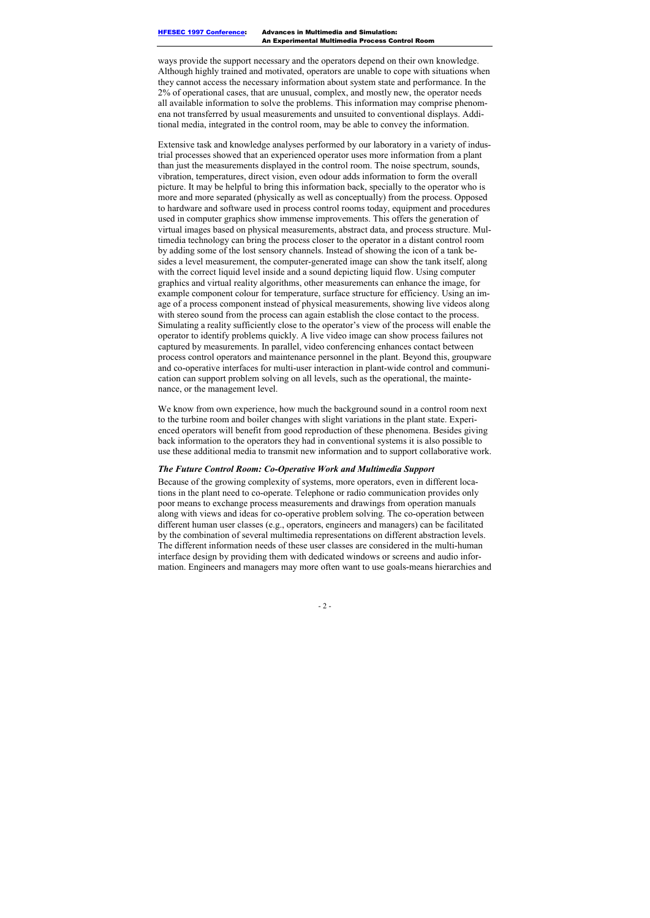ways provide the support necessary and the operators depend on their own knowledge. Although highly trained and motivated, operators are unable to cope with situations when they cannot access the necessary information about system state and performance. In the 2% of operational cases, that are unusual, complex, and mostly new, the operator needs all available information to solve the problems. This information may comprise phenomena not transferred by usual measurements and unsuited to conventional displays. Additional media, integrated in the control room, may be able to convey the information.

Extensive task and knowledge analyses performed by our laboratory in a variety of industrial processes showed that an experienced operator uses more information from a plant than just the measurements displayed in the control room. The noise spectrum, sounds, vibration, temperatures, direct vision, even odour adds information to form the overall picture. It may be helpful to bring this information back, specially to the operator who is more and more separated (physically as well as conceptually) from the process. Opposed to hardware and software used in process control rooms today, equipment and procedures used in computer graphics show immense improvements. This offers the generation of virtual images based on physical measurements, abstract data, and process structure. Multimedia technology can bring the process closer to the operator in a distant control room by adding some of the lost sensory channels. Instead of showing the icon of a tank besides a level measurement, the computer-generated image can show the tank itself, along with the correct liquid level inside and a sound depicting liquid flow. Using computer graphics and virtual reality algorithms, other measurements can enhance the image, for example component colour for temperature, surface structure for efficiency. Using an image of a process component instead of physical measurements, showing live videos along with stereo sound from the process can again establish the close contact to the process. Simulating a reality sufficiently close to the operator's view of the process will enable the operator to identify problems quickly. A live video image can show process failures not captured by measurements. In parallel, video conferencing enhances contact between process control operators and maintenance personnel in the plant. Beyond this, groupware and co-operative interfaces for multi-user interaction in plant-wide control and communication can support problem solving on all levels, such as the operational, the maintenance, or the management level.

We know from own experience, how much the background sound in a control room next to the turbine room and boiler changes with slight variations in the plant state. Experienced operators will benefit from good reproduction of these phenomena. Besides giving back information to the operators they had in conventional systems it is also possible to use these additional media to transmit new information and to support collaborative work.

## *The Future Control Room: Co-Operative Work and Multimedia Support*

Because of the growing complexity of systems, more operators, even in different locations in the plant need to co-operate. Telephone or radio communication provides only poor means to exchange process measurements and drawings from operation manuals along with views and ideas for co-operative problem solving. The co-operation between different human user classes (e.g., operators, engineers and managers) can be facilitated by the combination of several multimedia representations on different abstraction levels. The different information needs of these user classes are considered in the multi-human interface design by providing them with dedicated windows or screens and audio information. Engineers and managers may more often want to use goals-means hierarchies and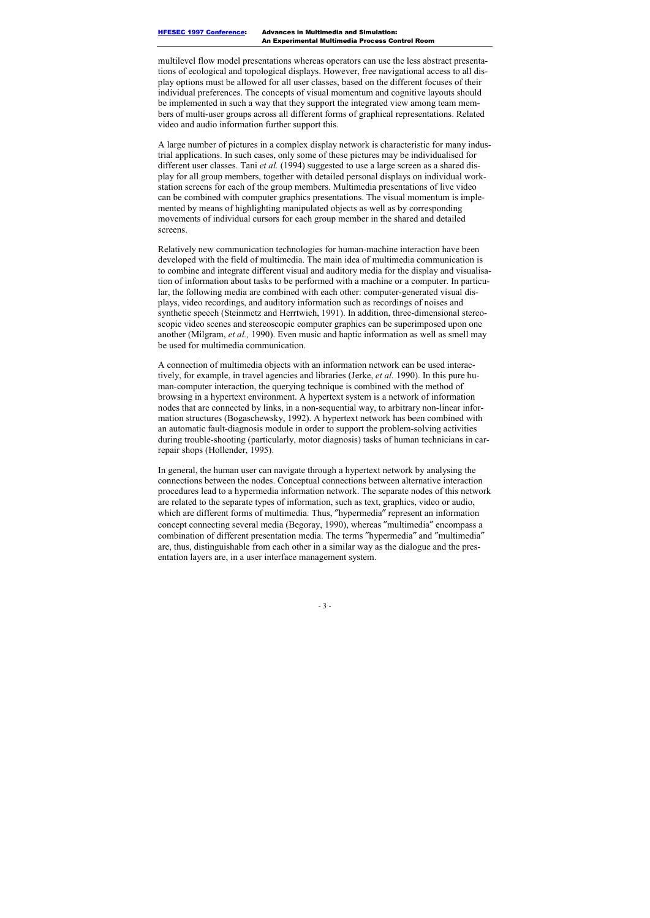multilevel flow model presentations whereas operators can use the less abstract presentations of ecological and topological displays. However, free navigational access to all display options must be allowed for all user classes, based on the different focuses of their individual preferences. The concepts of visual momentum and cognitive layouts should be implemented in such a way that they support the integrated view among team members of multi-user groups across all different forms of graphical representations. Related video and audio information further support this.

A large number of pictures in a complex display network is characteristic for many industrial applications. In such cases, only some of these pictures may be individualised for different user classes. Tani *et al.* (1994) suggested to use a large screen as a shared display for all group members, together with detailed personal displays on individual workstation screens for each of the group members. Multimedia presentations of live video can be combined with computer graphics presentations. The visual momentum is implemented by means of highlighting manipulated objects as well as by corresponding movements of individual cursors for each group member in the shared and detailed screens.

Relatively new communication technologies for human-machine interaction have been developed with the field of multimedia. The main idea of multimedia communication is to combine and integrate different visual and auditory media for the display and visualisation of information about tasks to be performed with a machine or a computer. In particular, the following media are combined with each other: computer-generated visual displays, video recordings, and auditory information such as recordings of noises and synthetic speech (Steinmetz and Herrtwich, 1991). In addition, three-dimensional stereoscopic video scenes and stereoscopic computer graphics can be superimposed upon one another (Milgram, *et al.,* 1990). Even music and haptic information as well as smell may be used for multimedia communication.

A connection of multimedia objects with an information network can be used interactively, for example, in travel agencies and libraries (Jerke, *et al.* 1990). In this pure human-computer interaction, the querying technique is combined with the method of browsing in a hypertext environment. A hypertext system is a network of information nodes that are connected by links, in a non-sequential way, to arbitrary non-linear information structures (Bogaschewsky, 1992). A hypertext network has been combined with an automatic fault-diagnosis module in order to support the problem-solving activities during trouble-shooting (particularly, motor diagnosis) tasks of human technicians in carrepair shops (Hollender, 1995).

In general, the human user can navigate through a hypertext network by analysing the connections between the nodes. Conceptual connections between alternative interaction procedures lead to a hypermedia information network. The separate nodes of this network are related to the separate types of information, such as text, graphics, video or audio, which are different forms of multimedia. Thus, "hypermedia" represent an information concept connecting several media (Begoray, 1990), whereas ″multimedia″ encompass a combination of different presentation media. The terms ″hypermedia″ and ″multimedia″ are, thus, distinguishable from each other in a similar way as the dialogue and the presentation layers are, in a user interface management system.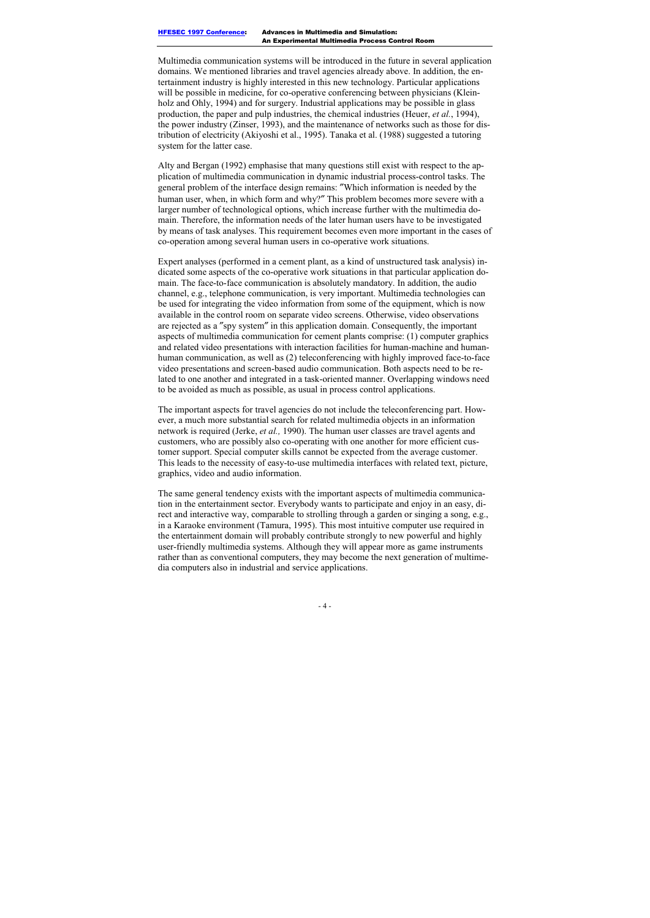Multimedia communication systems will be introduced in the future in several application domains. We mentioned libraries and travel agencies already above. In addition, the entertainment industry is highly interested in this new technology. Particular applications will be possible in medicine, for co-operative conferencing between physicians (Kleinholz and Ohly, 1994) and for surgery. Industrial applications may be possible in glass production, the paper and pulp industries, the chemical industries (Heuer, *et al.*, 1994), the power industry (Zinser, 1993), and the maintenance of networks such as those for distribution of electricity (Akiyoshi et al., 1995). Tanaka et al. (1988) suggested a tutoring system for the latter case.

Alty and Bergan (1992) emphasise that many questions still exist with respect to the application of multimedia communication in dynamic industrial process-control tasks. The general problem of the interface design remains: ″Which information is needed by the human user, when, in which form and why?″ This problem becomes more severe with a larger number of technological options, which increase further with the multimedia domain. Therefore, the information needs of the later human users have to be investigated by means of task analyses. This requirement becomes even more important in the cases of co-operation among several human users in co-operative work situations.

Expert analyses (performed in a cement plant, as a kind of unstructured task analysis) indicated some aspects of the co-operative work situations in that particular application domain. The face-to-face communication is absolutely mandatory. In addition, the audio channel, e.g., telephone communication, is very important. Multimedia technologies can be used for integrating the video information from some of the equipment, which is now available in the control room on separate video screens. Otherwise, video observations are rejected as a ″spy system″ in this application domain. Consequently, the important aspects of multimedia communication for cement plants comprise: (1) computer graphics and related video presentations with interaction facilities for human-machine and humanhuman communication, as well as (2) teleconferencing with highly improved face-to-face video presentations and screen-based audio communication. Both aspects need to be related to one another and integrated in a task-oriented manner. Overlapping windows need to be avoided as much as possible, as usual in process control applications.

The important aspects for travel agencies do not include the teleconferencing part. However, a much more substantial search for related multimedia objects in an information network is required (Jerke, *et al.,* 1990). The human user classes are travel agents and customers, who are possibly also co-operating with one another for more efficient customer support. Special computer skills cannot be expected from the average customer. This leads to the necessity of easy-to-use multimedia interfaces with related text, picture, graphics, video and audio information.

The same general tendency exists with the important aspects of multimedia communication in the entertainment sector. Everybody wants to participate and enjoy in an easy, direct and interactive way, comparable to strolling through a garden or singing a song, e.g., in a Karaoke environment (Tamura, 1995). This most intuitive computer use required in the entertainment domain will probably contribute strongly to new powerful and highly user-friendly multimedia systems. Although they will appear more as game instruments rather than as conventional computers, they may become the next generation of multimedia computers also in industrial and service applications.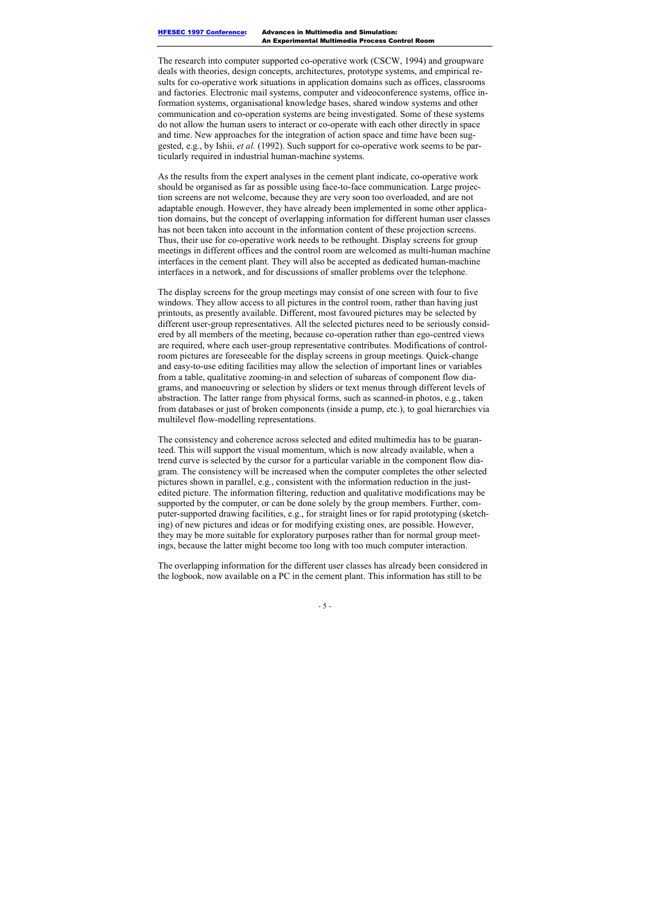The research into computer supported co-operative work (CSCW, 1994) and groupware deals with theories, design concepts, architectures, prototype systems, and empirical results for co-operative work situations in application domains such as offices, classrooms and factories. Electronic mail systems, computer and videoconference systems, office information systems, organisational knowledge bases, shared window systems and other communication and co-operation systems are being investigated. Some of these systems do not allow the human users to interact or co-operate with each other directly in space and time. New approaches for the integration of action space and time have been suggested, e.g., by Ishii, *et al.* (1992). Such support for co-operative work seems to be particularly required in industrial human-machine systems.

As the results from the expert analyses in the cement plant indicate, co-operative work should be organised as far as possible using face-to-face communication. Large projection screens are not welcome, because they are very soon too overloaded, and are not adaptable enough. However, they have already been implemented in some other application domains, but the concept of overlapping information for different human user classes has not been taken into account in the information content of these projection screens. Thus, their use for co-operative work needs to be rethought. Display screens for group meetings in different offices and the control room are welcomed as multi-human machine interfaces in the cement plant. They will also be accepted as dedicated human-machine interfaces in a network, and for discussions of smaller problems over the telephone.

The display screens for the group meetings may consist of one screen with four to five windows. They allow access to all pictures in the control room, rather than having just printouts, as presently available. Different, most favoured pictures may be selected by different user-group representatives. All the selected pictures need to be seriously considered by all members of the meeting, because co-operation rather than ego-centred views are required, where each user-group representative contributes. Modifications of controlroom pictures are foreseeable for the display screens in group meetings. Quick-change and easy-to-use editing facilities may allow the selection of important lines or variables from a table, qualitative zooming-in and selection of subareas of component flow diagrams, and manoeuvring or selection by sliders or text menus through different levels of abstraction. The latter range from physical forms, such as scanned-in photos, e.g., taken from databases or just of broken components (inside a pump, etc.), to goal hierarchies via multilevel flow-modelling representations.

The consistency and coherence across selected and edited multimedia has to be guaranteed. This will support the visual momentum, which is now already available, when a trend curve is selected by the cursor for a particular variable in the component flow diagram. The consistency will be increased when the computer completes the other selected pictures shown in parallel, e.g., consistent with the information reduction in the justedited picture. The information filtering, reduction and qualitative modifications may be supported by the computer, or can be done solely by the group members. Further, computer-supported drawing facilities, e.g., for straight lines or for rapid prototyping (sketching) of new pictures and ideas or for modifying existing ones, are possible. However, they may be more suitable for exploratory purposes rather than for normal group meetings, because the latter might become too long with too much computer interaction.

The overlapping information for the different user classes has already been considered in the logbook, now available on a PC in the cement plant. This information has still to be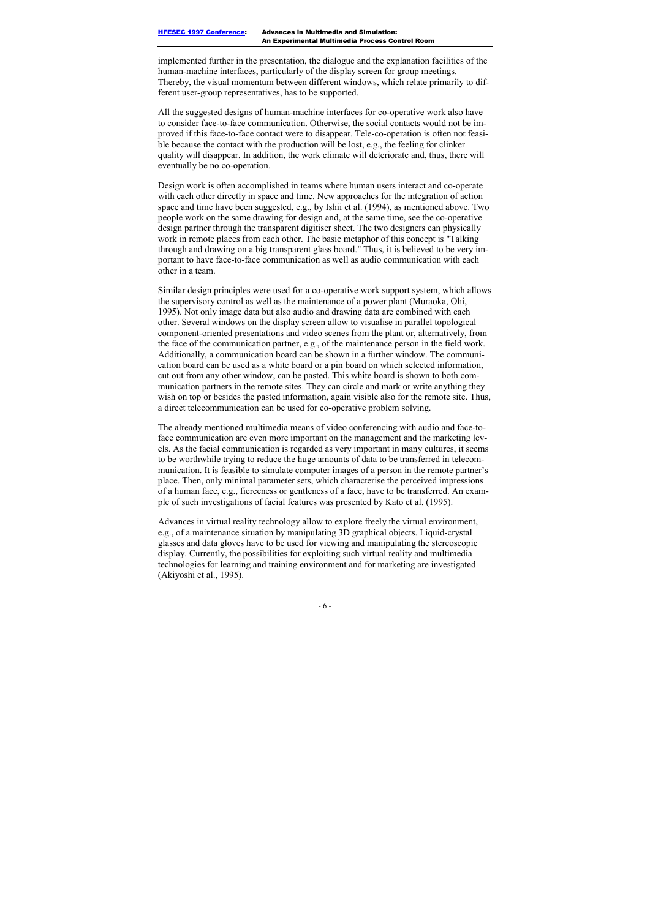implemented further in the presentation, the dialogue and the explanation facilities of the human-machine interfaces, particularly of the display screen for group meetings. Thereby, the visual momentum between different windows, which relate primarily to different user-group representatives, has to be supported.

All the suggested designs of human-machine interfaces for co-operative work also have to consider face-to-face communication. Otherwise, the social contacts would not be improved if this face-to-face contact were to disappear. Tele-co-operation is often not feasible because the contact with the production will be lost, e.g., the feeling for clinker quality will disappear. In addition, the work climate will deteriorate and, thus, there will eventually be no co-operation.

Design work is often accomplished in teams where human users interact and co-operate with each other directly in space and time. New approaches for the integration of action space and time have been suggested, e.g., by Ishii et al. (1994), as mentioned above. Two people work on the same drawing for design and, at the same time, see the co-operative design partner through the transparent digitiser sheet. The two designers can physically work in remote places from each other. The basic metaphor of this concept is "Talking through and drawing on a big transparent glass board." Thus, it is believed to be very important to have face-to-face communication as well as audio communication with each other in a team.

Similar design principles were used for a co-operative work support system, which allows the supervisory control as well as the maintenance of a power plant (Muraoka, Ohi, 1995). Not only image data but also audio and drawing data are combined with each other. Several windows on the display screen allow to visualise in parallel topological component-oriented presentations and video scenes from the plant or, alternatively, from the face of the communication partner, e.g., of the maintenance person in the field work. Additionally, a communication board can be shown in a further window. The communication board can be used as a white board or a pin board on which selected information, cut out from any other window, can be pasted. This white board is shown to both communication partners in the remote sites. They can circle and mark or write anything they wish on top or besides the pasted information, again visible also for the remote site. Thus, a direct telecommunication can be used for co-operative problem solving.

The already mentioned multimedia means of video conferencing with audio and face-toface communication are even more important on the management and the marketing levels. As the facial communication is regarded as very important in many cultures, it seems to be worthwhile trying to reduce the huge amounts of data to be transferred in telecommunication. It is feasible to simulate computer images of a person in the remote partner's place. Then, only minimal parameter sets, which characterise the perceived impressions of a human face, e.g., fierceness or gentleness of a face, have to be transferred. An example of such investigations of facial features was presented by Kato et al. (1995).

Advances in virtual reality technology allow to explore freely the virtual environment, e.g., of a maintenance situation by manipulating 3D graphical objects. Liquid-crystal glasses and data gloves have to be used for viewing and manipulating the stereoscopic display. Currently, the possibilities for exploiting such virtual reality and multimedia technologies for learning and training environment and for marketing are investigated (Akiyoshi et al., 1995).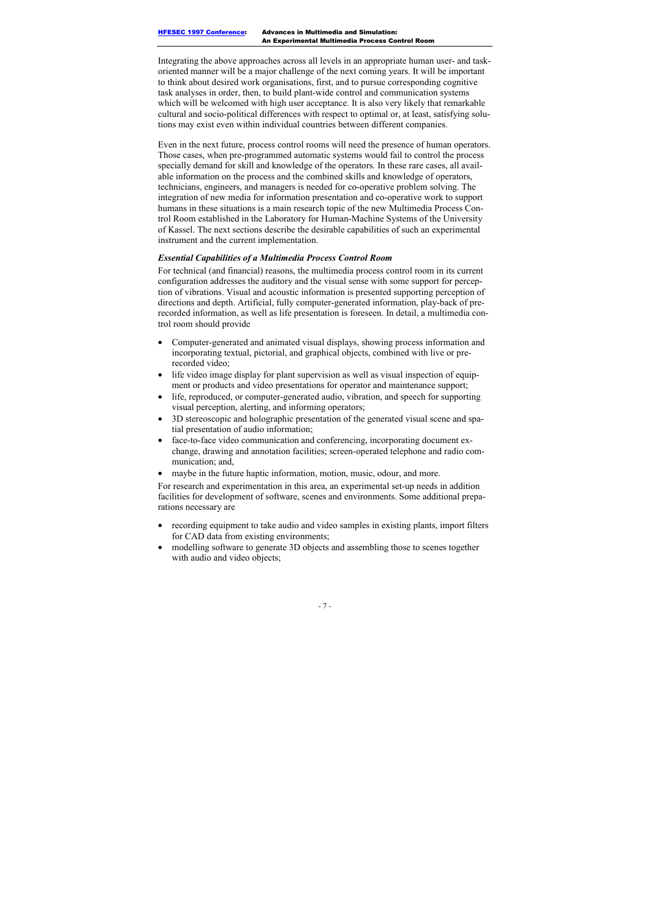Integrating the above approaches across all levels in an appropriate human user- and taskoriented manner will be a major challenge of the next coming years. It will be important to think about desired work organisations, first, and to pursue corresponding cognitive task analyses in order, then, to build plant-wide control and communication systems which will be welcomed with high user acceptance. It is also very likely that remarkable cultural and socio-political differences with respect to optimal or, at least, satisfying solutions may exist even within individual countries between different companies.

Even in the next future, process control rooms will need the presence of human operators. Those cases, when pre-programmed automatic systems would fail to control the process specially demand for skill and knowledge of the operators. In these rare cases, all available information on the process and the combined skills and knowledge of operators, technicians, engineers, and managers is needed for co-operative problem solving. The integration of new media for information presentation and co-operative work to support humans in these situations is a main research topic of the new Multimedia Process Control Room established in the Laboratory for Human-Machine Systems of the University of Kassel. The next sections describe the desirable capabilities of such an experimental instrument and the current implementation.

# *Essential Capabilities of a Multimedia Process Control Room*

For technical (and financial) reasons, the multimedia process control room in its current configuration addresses the auditory and the visual sense with some support for perception of vibrations. Visual and acoustic information is presented supporting perception of directions and depth. Artificial, fully computer-generated information, play-back of prerecorded information, as well as life presentation is foreseen. In detail, a multimedia control room should provide

- Computer-generated and animated visual displays, showing process information and incorporating textual, pictorial, and graphical objects, combined with live or prerecorded video;
- life video image display for plant supervision as well as visual inspection of equipment or products and video presentations for operator and maintenance support;
- life, reproduced, or computer-generated audio, vibration, and speech for supporting visual perception, alerting, and informing operators;
- 3D stereoscopic and holographic presentation of the generated visual scene and spatial presentation of audio information;
- face-to-face video communication and conferencing, incorporating document exchange, drawing and annotation facilities; screen-operated telephone and radio communication; and,
- maybe in the future haptic information, motion, music, odour, and more.

For research and experimentation in this area, an experimental set-up needs in addition facilities for development of software, scenes and environments. Some additional preparations necessary are

- recording equipment to take audio and video samples in existing plants, import filters for CAD data from existing environments;
- modelling software to generate 3D objects and assembling those to scenes together with audio and video objects;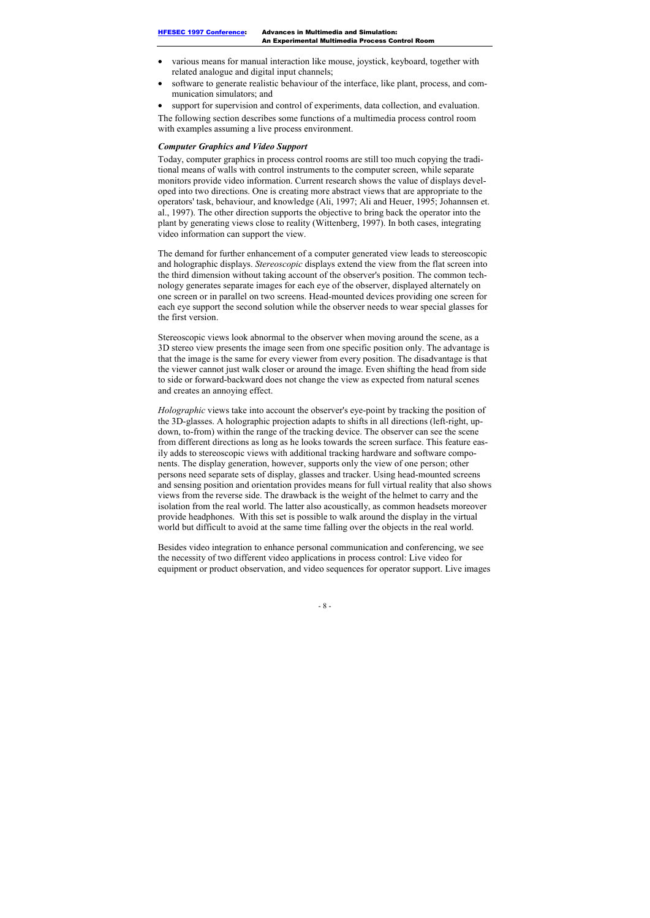- various means for manual interaction like mouse, joystick, keyboard, together with related analogue and digital input channels;
- software to generate realistic behaviour of the interface, like plant, process, and communication simulators; and
- support for supervision and control of experiments, data collection, and evaluation.

The following section describes some functions of a multimedia process control room with examples assuming a live process environment.

#### *Computer Graphics and Video Support*

Today, computer graphics in process control rooms are still too much copying the traditional means of walls with control instruments to the computer screen, while separate monitors provide video information. Current research shows the value of displays developed into two directions. One is creating more abstract views that are appropriate to the operators' task, behaviour, and knowledge (Ali, 1997; Ali and Heuer, 1995; Johannsen et. al., 1997). The other direction supports the objective to bring back the operator into the plant by generating views close to reality (Wittenberg, 1997). In both cases, integrating video information can support the view.

The demand for further enhancement of a computer generated view leads to stereoscopic and holographic displays. *Stereoscopic* displays extend the view from the flat screen into the third dimension without taking account of the observer's position. The common technology generates separate images for each eye of the observer, displayed alternately on one screen or in parallel on two screens. Head-mounted devices providing one screen for each eye support the second solution while the observer needs to wear special glasses for the first version.

Stereoscopic views look abnormal to the observer when moving around the scene, as a 3D stereo view presents the image seen from one specific position only. The advantage is that the image is the same for every viewer from every position. The disadvantage is that the viewer cannot just walk closer or around the image. Even shifting the head from side to side or forward-backward does not change the view as expected from natural scenes and creates an annoying effect.

*Holographic* views take into account the observer's eye-point by tracking the position of the 3D-glasses. A holographic projection adapts to shifts in all directions (left-right, updown, to-from) within the range of the tracking device. The observer can see the scene from different directions as long as he looks towards the screen surface. This feature easily adds to stereoscopic views with additional tracking hardware and software components. The display generation, however, supports only the view of one person; other persons need separate sets of display, glasses and tracker. Using head-mounted screens and sensing position and orientation provides means for full virtual reality that also shows views from the reverse side. The drawback is the weight of the helmet to carry and the isolation from the real world. The latter also acoustically, as common headsets moreover provide headphones. With this set is possible to walk around the display in the virtual world but difficult to avoid at the same time falling over the objects in the real world.

Besides video integration to enhance personal communication and conferencing, we see the necessity of two different video applications in process control: Live video for equipment or product observation, and video sequences for operator support. Live images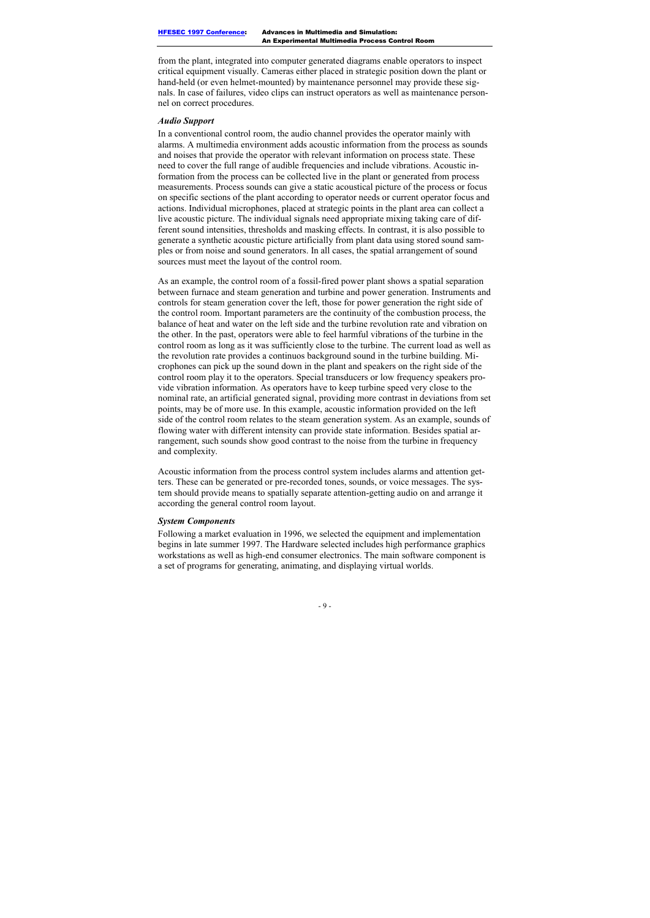from the plant, integrated into computer generated diagrams enable operators to inspect critical equipment visually. Cameras either placed in strategic position down the plant or hand-held (or even helmet-mounted) by maintenance personnel may provide these signals. In case of failures, video clips can instruct operators as well as maintenance personnel on correct procedures.

# *Audio Support*

In a conventional control room, the audio channel provides the operator mainly with alarms. A multimedia environment adds acoustic information from the process as sounds and noises that provide the operator with relevant information on process state. These need to cover the full range of audible frequencies and include vibrations. Acoustic information from the process can be collected live in the plant or generated from process measurements. Process sounds can give a static acoustical picture of the process or focus on specific sections of the plant according to operator needs or current operator focus and actions. Individual microphones, placed at strategic points in the plant area can collect a live acoustic picture. The individual signals need appropriate mixing taking care of different sound intensities, thresholds and masking effects. In contrast, it is also possible to generate a synthetic acoustic picture artificially from plant data using stored sound samples or from noise and sound generators. In all cases, the spatial arrangement of sound sources must meet the layout of the control room.

As an example, the control room of a fossil-fired power plant shows a spatial separation between furnace and steam generation and turbine and power generation. Instruments and controls for steam generation cover the left, those for power generation the right side of the control room. Important parameters are the continuity of the combustion process, the balance of heat and water on the left side and the turbine revolution rate and vibration on the other. In the past, operators were able to feel harmful vibrations of the turbine in the control room as long as it was sufficiently close to the turbine. The current load as well as the revolution rate provides a continuos background sound in the turbine building. Microphones can pick up the sound down in the plant and speakers on the right side of the control room play it to the operators. Special transducers or low frequency speakers provide vibration information. As operators have to keep turbine speed very close to the nominal rate, an artificial generated signal, providing more contrast in deviations from set points, may be of more use. In this example, acoustic information provided on the left side of the control room relates to the steam generation system. As an example, sounds of flowing water with different intensity can provide state information. Besides spatial arrangement, such sounds show good contrast to the noise from the turbine in frequency and complexity.

Acoustic information from the process control system includes alarms and attention getters. These can be generated or pre-recorded tones, sounds, or voice messages. The system should provide means to spatially separate attention-getting audio on and arrange it according the general control room layout.

# *System Components*

Following a market evaluation in 1996, we selected the equipment and implementation begins in late summer 1997. The Hardware selected includes high performance graphics workstations as well as high-end consumer electronics. The main software component is a set of programs for generating, animating, and displaying virtual worlds.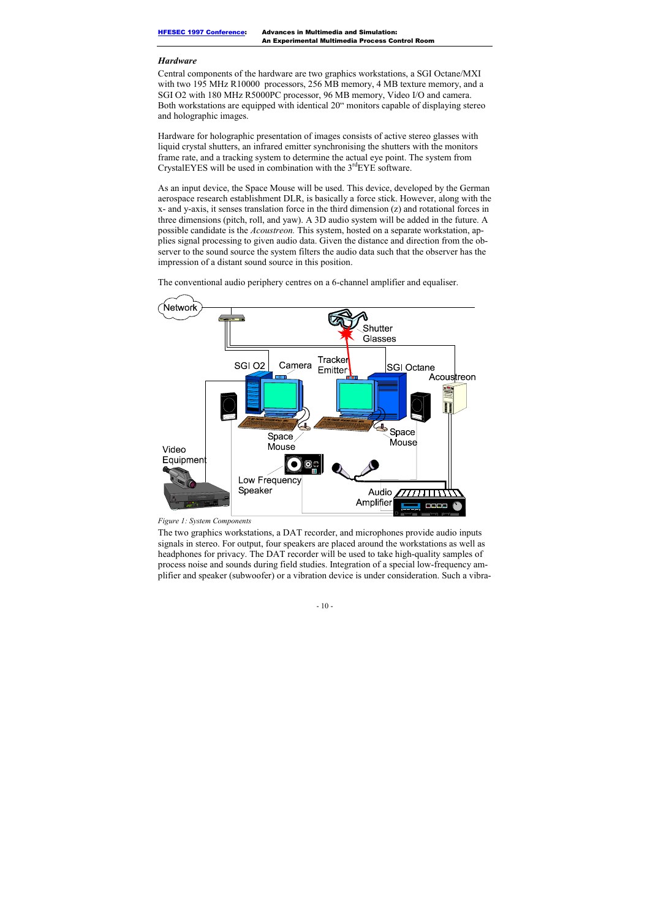# *Hardware*

Central components of the hardware are two graphics workstations, a SGI Octane/MXI with two 195 MHz R10000 processors, 256 MB memory, 4 MB texture memory, and a SGI O2 with 180 MHz R5000PC processor, 96 MB memory, Video I/O and camera. Both workstations are equipped with identical 20" monitors capable of displaying stereo and holographic images.

Hardware for holographic presentation of images consists of active stereo glasses with liquid crystal shutters, an infrared emitter synchronising the shutters with the monitors frame rate, and a tracking system to determine the actual eye point. The system from CrystalEYES will be used in combination with the  $3<sup>rd</sup>EYE$  software.

As an input device, the Space Mouse will be used. This device, developed by the German aerospace research establishment DLR, is basically a force stick. However, along with the x- and y-axis, it senses translation force in the third dimension (z) and rotational forces in three dimensions (pitch, roll, and yaw). A 3D audio system will be added in the future. A possible candidate is the *Acoustreon.* This system, hosted on a separate workstation, applies signal processing to given audio data. Given the distance and direction from the observer to the sound source the system filters the audio data such that the observer has the impression of a distant sound source in this position.

The conventional audio periphery centres on a 6-channel amplifier and equaliser.



*Figure 1: System Components* 

The two graphics workstations, a DAT recorder, and microphones provide audio inputs signals in stereo. For output, four speakers are placed around the workstations as well as headphones for privacy. The DAT recorder will be used to take high-quality samples of process noise and sounds during field studies. Integration of a special low-frequency amplifier and speaker (subwoofer) or a vibration device is under consideration. Such a vibra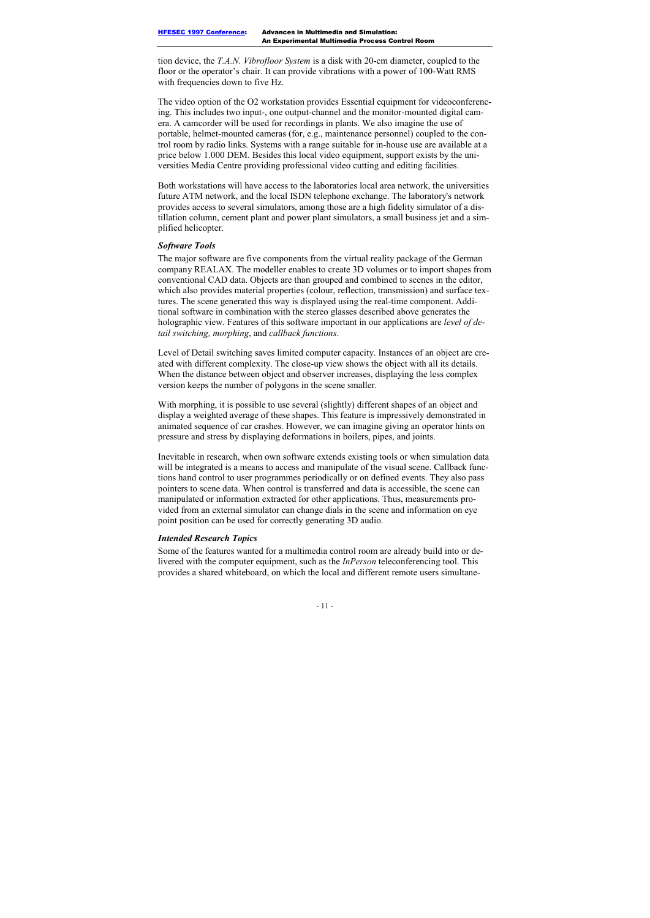tion device, the *T.A.N. Vibrofloor System* is a disk with 20-cm diameter, coupled to the floor or the operator's chair. It can provide vibrations with a power of 100-Watt RMS with frequencies down to five Hz.

The video option of the O2 workstation provides Essential equipment for videoconferencing. This includes two input-, one output-channel and the monitor-mounted digital camera. A camcorder will be used for recordings in plants. We also imagine the use of portable, helmet-mounted cameras (for, e.g., maintenance personnel) coupled to the control room by radio links. Systems with a range suitable for in-house use are available at a price below 1.000 DEM. Besides this local video equipment, support exists by the universities Media Centre providing professional video cutting and editing facilities.

Both workstations will have access to the laboratories local area network, the universities future ATM network, and the local ISDN telephone exchange. The laboratory's network provides access to several simulators, among those are a high fidelity simulator of a distillation column, cement plant and power plant simulators, a small business jet and a simplified helicopter.

# *Software Tools*

The major software are five components from the virtual reality package of the German company REALAX. The modeller enables to create 3D volumes or to import shapes from conventional CAD data. Objects are than grouped and combined to scenes in the editor, which also provides material properties (colour, reflection, transmission) and surface textures. The scene generated this way is displayed using the real-time component. Additional software in combination with the stereo glasses described above generates the holographic view. Features of this software important in our applications are *level of detail switching, morphing*, and *callback functions*.

Level of Detail switching saves limited computer capacity. Instances of an object are created with different complexity. The close-up view shows the object with all its details. When the distance between object and observer increases, displaying the less complex version keeps the number of polygons in the scene smaller.

With morphing, it is possible to use several (slightly) different shapes of an object and display a weighted average of these shapes. This feature is impressively demonstrated in animated sequence of car crashes. However, we can imagine giving an operator hints on pressure and stress by displaying deformations in boilers, pipes, and joints.

Inevitable in research, when own software extends existing tools or when simulation data will be integrated is a means to access and manipulate of the visual scene. Callback functions hand control to user programmes periodically or on defined events. They also pass pointers to scene data. When control is transferred and data is accessible, the scene can manipulated or information extracted for other applications. Thus, measurements provided from an external simulator can change dials in the scene and information on eye point position can be used for correctly generating 3D audio.

# *Intended Research Topics*

Some of the features wanted for a multimedia control room are already build into or delivered with the computer equipment, such as the *InPerson* teleconferencing tool. This provides a shared whiteboard, on which the local and different remote users simultane-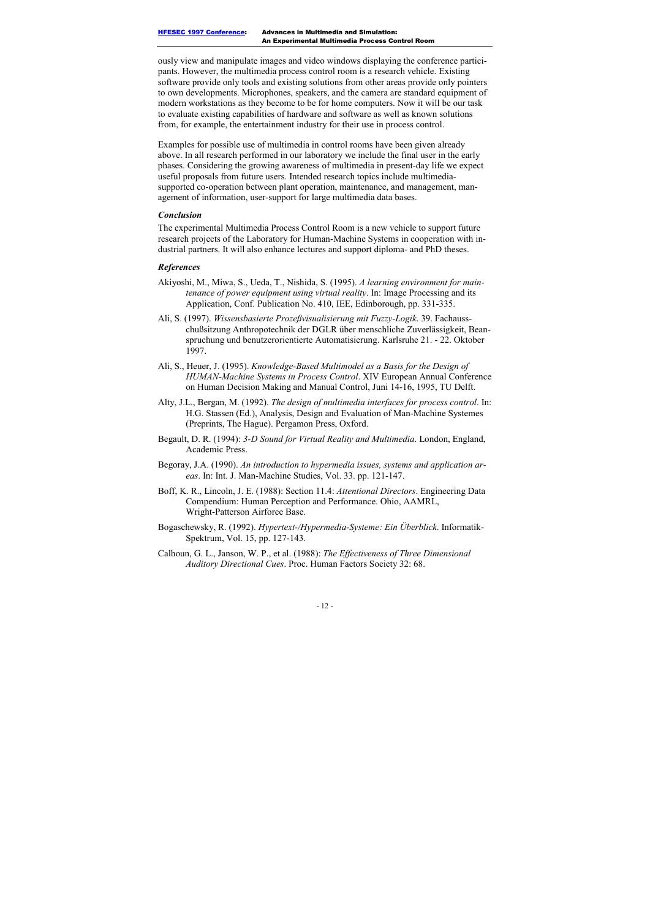ously view and manipulate images and video windows displaying the conference participants. However, the multimedia process control room is a research vehicle. Existing software provide only tools and existing solutions from other areas provide only pointers to own developments. Microphones, speakers, and the camera are standard equipment of modern workstations as they become to be for home computers. Now it will be our task to evaluate existing capabilities of hardware and software as well as known solutions from, for example, the entertainment industry for their use in process control.

Examples for possible use of multimedia in control rooms have been given already above. In all research performed in our laboratory we include the final user in the early phases. Considering the growing awareness of multimedia in present-day life we expect useful proposals from future users. Intended research topics include multimediasupported co-operation between plant operation, maintenance, and management, management of information, user-support for large multimedia data bases.

## *Conclusion*

The experimental Multimedia Process Control Room is a new vehicle to support future research projects of the Laboratory for Human-Machine Systems in cooperation with industrial partners. It will also enhance lectures and support diploma- and PhD theses.

## *References*

- Akiyoshi, M., Miwa, S., Ueda, T., Nishida, S. (1995). *A learning environment for maintenance of power equipment using virtual reality*. In: Image Processing and its Application, Conf. Publication No. 410, IEE, Edinborough, pp. 331-335.
- Ali, S. (1997). *Wissensbasierte Prozeßvisualisierung mit Fuzzy-Logik*. 39. Fachausschußsitzung Anthropotechnik der DGLR über menschliche Zuverlässigkeit, Beanspruchung und benutzerorientierte Automatisierung. Karlsruhe 21. - 22. Oktober 1997.
- Ali, S., Heuer, J. (1995). *Knowledge-Based Multimodel as a Basis for the Design of HUMAN-Machine Systems in Process Control*. XIV European Annual Conference on Human Decision Making and Manual Control, Juni 14-16, 1995, TU Delft.
- Alty, J.L., Bergan, M. (1992). *The design of multimedia interfaces for process control*. In: H.G. Stassen (Ed.), Analysis, Design and Evaluation of Man-Machine Systemes (Preprints, The Hague). Pergamon Press, Oxford.
- Begault, D. R. (1994): *3-D Sound for Virtual Reality and Multimedia*. London, England, Academic Press.
- Begoray, J.A. (1990). *An introduction to hypermedia issues, systems and application areas*. In: Int. J. Man-Machine Studies, Vol. 33. pp. 121-147.
- Boff, K. R., Lincoln, J. E. (1988): Section 11.4: *Attentional Directors*. Engineering Data Compendium: Human Perception and Performance. Ohio, AAMRL, Wright-Patterson Airforce Base.
- Bogaschewsky, R. (1992). *Hypertext-/Hypermedia-Systeme: Ein Überblick*. Informatik-Spektrum, Vol. 15, pp. 127-143.
- Calhoun, G. L., Janson, W. P., et al. (1988): *The Effectiveness of Three Dimensional Auditory Directional Cues*. Proc. Human Factors Society 32: 68.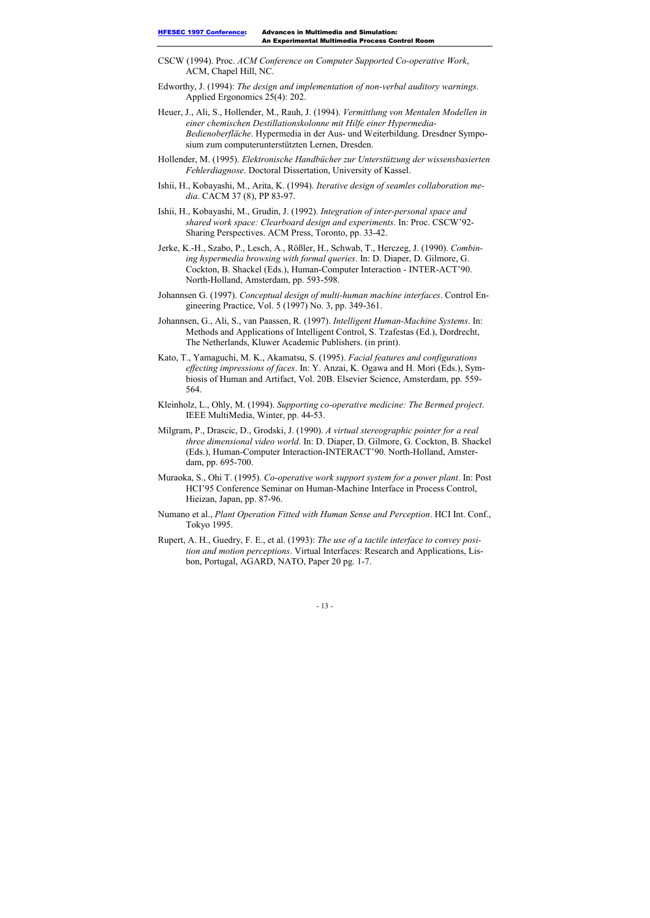- CSCW (1994). Proc. *ACM Conference on Computer Supported Co-operative Work*, ACM, Chapel Hill, NC.
- Edworthy, J. (1994): *The design and implementation of non-verbal auditory warnings*. Applied Ergonomics 25(4): 202.
- Heuer, J., Ali, S., Hollender, M., Rauh, J. (1994). *Vermittlung von Mentalen Modellen in einer chemischen Destillationskolonne mit Hilfe einer Hypermedia-Bedienoberfläche*. Hypermedia in der Aus- und Weiterbildung. Dresdner Symposium zum computerunterstützten Lernen, Dresden.
- Hollender, M. (1995). *Elektronische Handbücher zur Unterstützung der wissensbasierten Fehlerdiagnose*. Doctoral Dissertation, University of Kassel.
- Ishii, H., Kobayashi, M., Arita, K. (1994). *Iterative design of seamles collaboration media*. CACM 37 (8), PP 83-97.
- Ishii, H., Kobayashi, M., Grudin, J. (1992). *Integration of inter-personal space and shared work space: Clearboard design and experiments*. In: Proc. CSCW'92- Sharing Perspectives. ACM Press, Toronto, pp. 33-42.
- Jerke, K.-H., Szabo, P., Lesch, A., Rößler, H., Schwab, T., Herczeg, J. (1990). *Combining hypermedia browsing with formal queries*. In: D. Diaper, D. Gilmore, G. Cockton, B. Shackel (Eds.), Human-Computer Interaction - INTER-ACT'90. North-Holland, Amsterdam, pp. 593-598.
- Johannsen G. (1997). *Conceptual design of multi-human machine interfaces*. Control Engineering Practice, Vol. 5 (1997) No. 3, pp. 349-361.
- Johannsen, G., Ali, S., van Paassen, R. (1997). *Intelligent Human-Machine Systems*. In: Methods and Applications of Intelligent Control, S. Tzafestas (Ed.), Dordrecht, The Netherlands, Kluwer Academic Publishers. (in print).
- Kato, T., Yamaguchi, M. K., Akamatsu, S. (1995). *Facial features and configurations effecting impressions of faces*. In: Y. Anzai, K. Ogawa and H. Mori (Eds.), Symbiosis of Human and Artifact, Vol. 20B. Elsevier Science, Amsterdam, pp. 559- 564.
- Kleinholz, L., Ohly, M. (1994). *Supporting co-operative medicine: The Bermed project*. IEEE MultiMedia, Winter, pp. 44-53.
- Milgram, P., Drascic, D., Grodski, J. (1990). *A virtual stereographic pointer for a real three dimensional video world*. In: D. Diaper, D. Gilmore, G. Cockton, B. Shackel (Eds.), Human-Computer Interaction-INTERACT'90. North-Holland, Amsterdam, pp. 695-700.
- Muraoka, S., Ohi T. (1995). *Co-operative work support system for a power plant*. In: Post HCI'95 Conference Seminar on Human-Machine Interface in Process Control, Hieizan, Japan, pp. 87-96.
- Numano et al., *Plant Operation Fitted with Human Sense and Perception*. HCI Int. Conf., Tokyo 1995.
- Rupert, A. H., Guedry, F. E., et al. (1993): *The use of a tactile interface to convey position and motion perceptions*. Virtual Interfaces: Research and Applications, Lisbon, Portugal, AGARD, NATO, Paper 20 pg. 1-7.